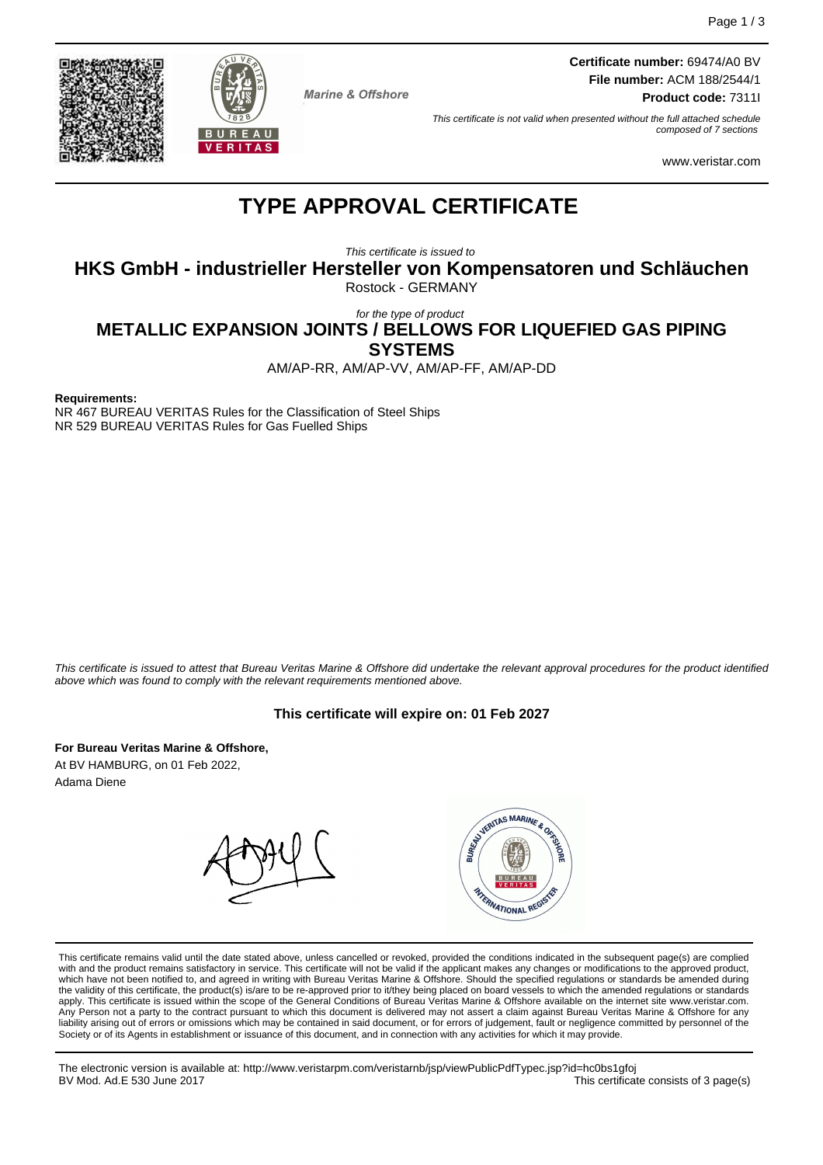



**Marine & Offshore** 

**Certificate number:** 69474/A0 BV **File number:** ACM 188/2544/1 **Product code:** 7311I

This certificate is not valid when presented without the full attached schedule composed of 7 sections

www.veristar.com

# **TYPE APPROVAL CERTIFICATE**

This certificate is issued to

**HKS GmbH - industrieller Hersteller von Kompensatoren und Schläuchen**

Rostock - GERMANY

for the type of product

**METALLIC EXPANSION JOINTS / BELLOWS FOR LIQUEFIED GAS PIPING SYSTEMS**

AM/AP-RR, AM/AP-VV, AM/AP-FF, AM/AP-DD

#### **Requirements:**

NR 467 BUREAU VERITAS Rules for the Classification of Steel Ships NR 529 BUREAU VERITAS Rules for Gas Fuelled Ships

This certificate is issued to attest that Bureau Veritas Marine & Offshore did undertake the relevant approval procedures for the product identified above which was found to comply with the relevant requirements mentioned above.

## **This certificate will expire on: 01 Feb 2027**

**For Bureau Veritas Marine & Offshore,** At BV HAMBURG, on 01 Feb 2022, Adama Diene



This certificate remains valid until the date stated above, unless cancelled or revoked, provided the conditions indicated in the subsequent page(s) are complied with and the product remains satisfactory in service. This certificate will not be valid if the applicant makes any changes or modifications to the approved product, which have not been notified to, and agreed in writing with Bureau Veritas Marine & Offshore. Should the specified regulations or standards be amended during<br>the validity of this certificate, the product(s) is/are to be re apply. This certificate is issued within the scope of the General Conditions of Bureau Veritas Marine & Offshore available on the internet site www.veristar.com. Any Person not a party to the contract pursuant to which this document is delivered may not assert a claim against Bureau Veritas Marine & Offshore for any liability arising out of errors or omissions which may be contained in said document, or for errors of judgement, fault or negligence committed by personnel of the<br>Society or of its Agents in establishment or issuance of t

The electronic version is available at: http://www.veristarpm.com/veristarnb/jsp/viewPublicPdfTypec.jsp?id=hc0bs1gfoj This certificate consists of 3 page(s)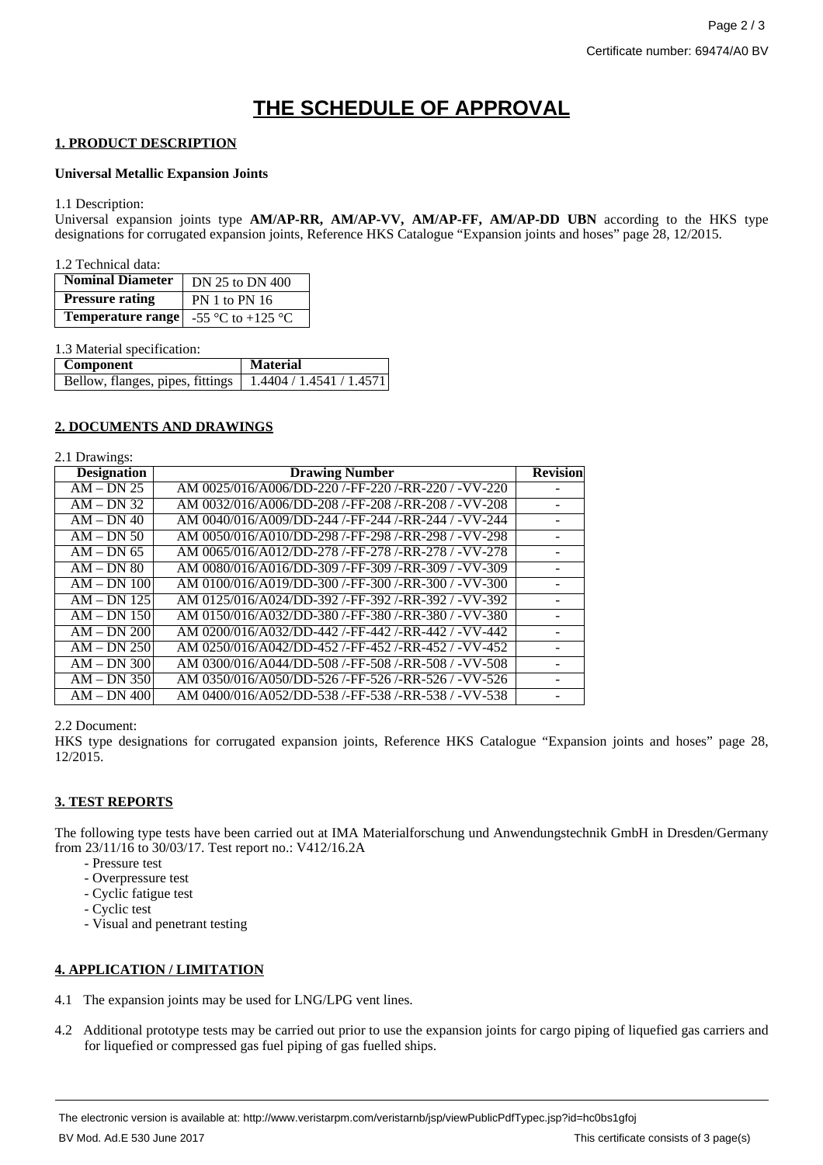## **THE SCHEDULE OF APPROVAL**

#### **1. PRODUCT DESCRIPTION**

#### **Universal Metallic Expansion Joints**

1.1 Description:

Universal expansion joints type **AM/AP-RR, AM/AP-VV, AM/AP-FF, AM/AP-DD UBN** according to the HKS type designations for corrugated expansion joints, Reference HKS Catalogue "Expansion joints and hoses" page 28, 12/2015.

1.2 Technical data:

| <b>Nominal Diameter</b>  | DN 25 to DN 400   |
|--------------------------|-------------------|
| <b>Pressure rating</b>   | PN 1 to PN 16     |
| <b>Temperature range</b> | -55 °C to +125 °C |

1.3 Material specification:

| <b>Component</b>                                            | <b>Material</b> |
|-------------------------------------------------------------|-----------------|
| Bellow, flanges, pipes, fittings   1.4404 / 1.4541 / 1.4571 |                 |

## **2. DOCUMENTS AND DRAWINGS**

2.1 Drawings:

| <b>Designation</b>        | <b>Drawing Number</b>                               | <b>Revision</b> |
|---------------------------|-----------------------------------------------------|-----------------|
| $AM$ – DN 25              | AM 0025/016/A006/DD-220 /-FF-220 /-RR-220 / -VV-220 |                 |
| $AM - DN 32$              | AM 0032/016/A006/DD-208 /-FF-208 /-RR-208 / -VV-208 |                 |
| $AM - DN 40$              | AM 0040/016/A009/DD-244 /-FF-244 /-RR-244 / -VV-244 |                 |
| $AM - DN 50$              | AM 0050/016/A010/DD-298 /-FF-298 /-RR-298 / -VV-298 |                 |
| $AM$ – DN 65              | AM 0065/016/A012/DD-278 /-FF-278 /-RR-278 / -VV-278 |                 |
| $AM - DN 80$              | AM 0080/016/A016/DD-309 /-FF-309 /-RR-309 / -VV-309 |                 |
| $AM$ – DN 100             | AM 0100/016/A019/DD-300 /-FF-300 /-RR-300 / -VV-300 |                 |
| $AM$ – DN 125             | AM 0125/016/A024/DD-392 /-FF-392 /-RR-392 / -VV-392 |                 |
| $AM - DN$ 150             | AM 0150/016/A032/DD-380 /-FF-380 /-RR-380 / -VV-380 |                 |
| $AM - DN$ 200             | AM 0200/016/A032/DD-442 /-FF-442 /-RR-442 / -VV-442 |                 |
| $AM - DN$ 250             | AM 0250/016/A042/DD-452 /-FF-452 /-RR-452 / -VV-452 |                 |
| $AM - DN 300$             | AM 0300/016/A044/DD-508 /-FF-508 /-RR-508 / -VV-508 |                 |
| $AM$ – DN 350 $\parallel$ | AM 0350/016/A050/DD-526 /-FF-526 /-RR-526 / -VV-526 |                 |
| $AM - DN 400$             | AM 0400/016/A052/DD-538 /-FF-538 /-RR-538 / -VV-538 |                 |

2.2 Document:

HKS type designations for corrugated expansion joints, Reference HKS Catalogue "Expansion joints and hoses" page 28, 12/2015.

## **3. TEST REPORTS**

The following type tests have been carried out at IMA Materialforschung und Anwendungstechnik GmbH in Dresden/Germany from 23/11/16 to 30/03/17. Test report no.: V412/16.2A

- Pressure test
- Overpressure test
- Cyclic fatigue test
- Cyclic test
- Visual and penetrant testing

## **4. APPLICATION / LIMITATION**

- 4.1 The expansion joints may be used for LNG/LPG vent lines.
- 4.2 Additional prototype tests may be carried out prior to use the expansion joints for cargo piping of liquefied gas carriers and for liquefied or compressed gas fuel piping of gas fuelled ships.